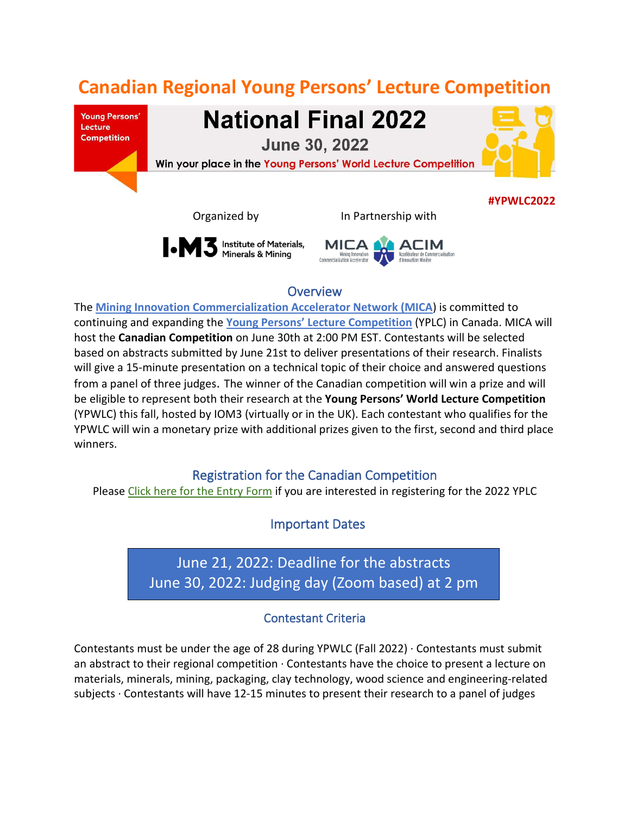# **Canadian Regional Young Persons' Lecture Competition**

**Young Persons'** Lecture **Competition** 

**National Final 2022** 

**June 30, 2022** 

Win your place in the Young Persons' World Lecture Competition

Organized by In Partnership with

**I M** 3 Institute of Materials,



### **Overview**

The **[Mining Innovation Commercialization](https://micanetwork.ca/) Accelerator Network [\(MICA](https://micanetwork.ca/)**) is committed to continuing and expanding the **[Young Persons' Lecture Competition](https://www.iom3.org/events-awards/competitions/yplc.html)** (YPLC) in Canada. MICA will host the **Canadian Competition** on June 30th at 2:00 PM EST. Contestants will be selected based on abstracts submitted by June 21st to deliver presentations of their research. Finalists will give a 15-minute presentation on a technical topic of their choice and answered questions from a panel of three judges. The winner of the Canadian competition will win a prize and will be eligible to represent both their research at the **Young Persons' World Lecture Competition** (YPWLC) this fall, hosted by IOM3 (virtually or in the UK). Each contestant who qualifies for the YPWLC will win a monetary prize with additional prizes given to the first, second and third place winners.

### Registration for the Canadian Competition

Please [Click here for the Entry Form](https://forms.gle/hAtPSfhRE6LwCJU39) if you are interested in registering for the 2022 YPLC

Important Dates

 June 30, 2022: Judging day (Zoom based) at 2 pm June 21, 2022: Deadline for the abstracts

## Contestant Criteria

Contestants must be under the age of 28 during YPWLC (Fall 2022) ∙ Contestants must submit an abstract to their regional competition ∙ Contestants have the choice to present a lecture on materials, minerals, mining, packaging, clay technology, wood science and engineering-related subjects ∙ Contestants will have 12-15 minutes to present their research to a panel of judges



**#YPWLC2022**